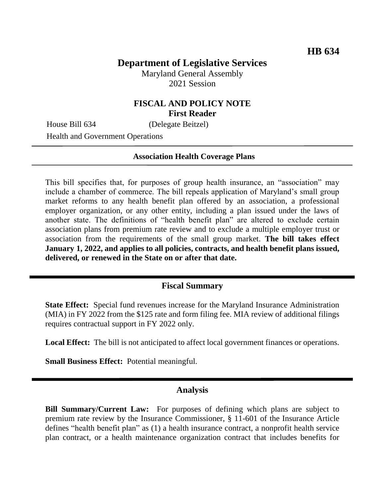# **Department of Legislative Services**

Maryland General Assembly 2021 Session

#### **FISCAL AND POLICY NOTE First Reader**

House Bill 634 (Delegate Beitzel)

Health and Government Operations

#### **Association Health Coverage Plans**

This bill specifies that, for purposes of group health insurance, an "association" may include a chamber of commerce. The bill repeals application of Maryland's small group market reforms to any health benefit plan offered by an association, a professional employer organization, or any other entity, including a plan issued under the laws of another state. The definitions of "health benefit plan" are altered to exclude certain association plans from premium rate review and to exclude a multiple employer trust or association from the requirements of the small group market. **The bill takes effect January 1, 2022, and applies to all policies, contracts, and health benefit plans issued, delivered, or renewed in the State on or after that date.**

### **Fiscal Summary**

**State Effect:** Special fund revenues increase for the Maryland Insurance Administration (MIA) in FY 2022 from the \$125 rate and form filing fee. MIA review of additional filings requires contractual support in FY 2022 only.

**Local Effect:** The bill is not anticipated to affect local government finances or operations.

**Small Business Effect:** Potential meaningful.

#### **Analysis**

**Bill Summary/Current Law:** For purposes of defining which plans are subject to premium rate review by the Insurance Commissioner, § 11-601 of the Insurance Article defines "health benefit plan" as (1) a health insurance contract, a nonprofit health service plan contract, or a health maintenance organization contract that includes benefits for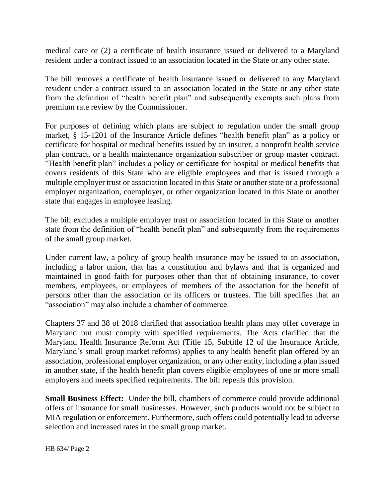medical care or (2) a certificate of health insurance issued or delivered to a Maryland resident under a contract issued to an association located in the State or any other state.

The bill removes a certificate of health insurance issued or delivered to any Maryland resident under a contract issued to an association located in the State or any other state from the definition of "health benefit plan" and subsequently exempts such plans from premium rate review by the Commissioner.

For purposes of defining which plans are subject to regulation under the small group market, § 15-1201 of the Insurance Article defines "health benefit plan" as a policy or certificate for hospital or medical benefits issued by an insurer, a nonprofit health service plan contract, or a health maintenance organization subscriber or group master contract. "Health benefit plan" includes a policy or certificate for hospital or medical benefits that covers residents of this State who are eligible employees and that is issued through a multiple employer trust or association located in this State or another state or a professional employer organization, coemployer, or other organization located in this State or another state that engages in employee leasing.

The bill excludes a multiple employer trust or association located in this State or another state from the definition of "health benefit plan" and subsequently from the requirements of the small group market.

Under current law, a policy of group health insurance may be issued to an association, including a labor union, that has a constitution and bylaws and that is organized and maintained in good faith for purposes other than that of obtaining insurance, to cover members, employees, or employees of members of the association for the benefit of persons other than the association or its officers or trustees. The bill specifies that an "association" may also include a chamber of commerce.

Chapters 37 and 38 of 2018 clarified that association health plans may offer coverage in Maryland but must comply with specified requirements. The Acts clarified that the Maryland Health Insurance Reform Act (Title 15, Subtitle 12 of the Insurance Article, Maryland's small group market reforms) applies to any health benefit plan offered by an association, professional employer organization, or any other entity, including a plan issued in another state, if the health benefit plan covers eligible employees of one or more small employers and meets specified requirements. The bill repeals this provision.

**Small Business Effect:** Under the bill, chambers of commerce could provide additional offers of insurance for small businesses. However, such products would not be subject to MIA regulation or enforcement. Furthermore, such offers could potentially lead to adverse selection and increased rates in the small group market.